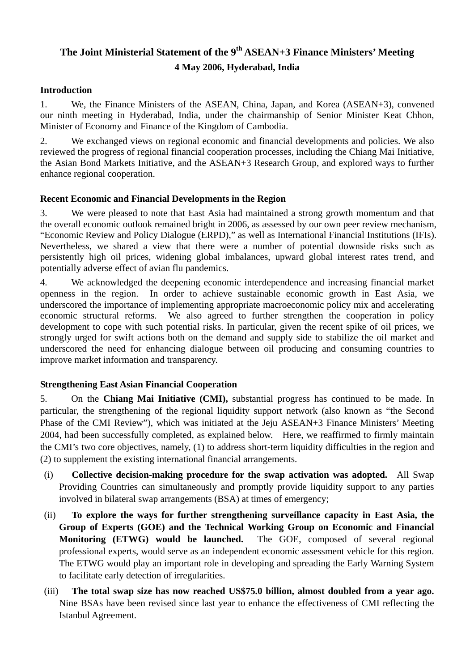# **The Joint Ministerial Statement of the 9th ASEAN+3 Finance Ministers' Meeting 4 May 2006, Hyderabad, India**

#### **Introduction**

1. We, the Finance Ministers of the ASEAN, China, Japan, and Korea (ASEAN+3), convened our ninth meeting in Hyderabad, India, under the chairmanship of Senior Minister Keat Chhon, Minister of Economy and Finance of the Kingdom of Cambodia.

2. We exchanged views on regional economic and financial developments and policies. We also reviewed the progress of regional financial cooperation processes, including the Chiang Mai Initiative, the Asian Bond Markets Initiative, and the ASEAN+3 Research Group, and explored ways to further enhance regional cooperation.

#### **Recent Economic and Financial Developments in the Region**

3. We were pleased to note that East Asia had maintained a strong growth momentum and that the overall economic outlook remained bright in 2006, as assessed by our own peer review mechanism, "Economic Review and Policy Dialogue (ERPD)," as well as International Financial Institutions (IFIs). Nevertheless, we shared a view that there were a number of potential downside risks such as persistently high oil prices, widening global imbalances, upward global interest rates trend, and potentially adverse effect of avian flu pandemics.

4. We acknowledged the deepening economic interdependence and increasing financial market openness in the region. In order to achieve sustainable economic growth in East Asia, we underscored the importance of implementing appropriate macroeconomic policy mix and accelerating economic structural reforms. We also agreed to further strengthen the cooperation in policy development to cope with such potential risks. In particular, given the recent spike of oil prices, we strongly urged for swift actions both on the demand and supply side to stabilize the oil market and underscored the need for enhancing dialogue between oil producing and consuming countries to improve market information and transparency.

## **Strengthening East Asian Financial Cooperation**

5. On the **Chiang Mai Initiative (CMI),** substantial progress has continued to be made. In particular, the strengthening of the regional liquidity support network (also known as "the Second Phase of the CMI Review"), which was initiated at the Jeju ASEAN+3 Finance Ministers' Meeting 2004, had been successfully completed, as explained below. Here, we reaffirmed to firmly maintain the CMI's two core objectives, namely, (1) to address short-term liquidity difficulties in the region and (2) to supplement the existing international financial arrangements.

- (i) **Collective decision-making procedure for the swap activation was adopted.** All Swap Providing Countries can simultaneously and promptly provide liquidity support to any parties involved in bilateral swap arrangements (BSA) at times of emergency;
- (ii) **To explore the ways for further strengthening surveillance capacity in East Asia, the Group of Experts (GOE) and the Technical Working Group on Economic and Financial Monitoring (ETWG) would be launched.** The GOE, composed of several regional professional experts, would serve as an independent economic assessment vehicle for this region. The ETWG would play an important role in developing and spreading the Early Warning System to facilitate early detection of irregularities.
- (iii) **The total swap size has now reached US\$75.0 billion, almost doubled from a year ago.** Nine BSAs have been revised since last year to enhance the effectiveness of CMI reflecting the Istanbul Agreement.